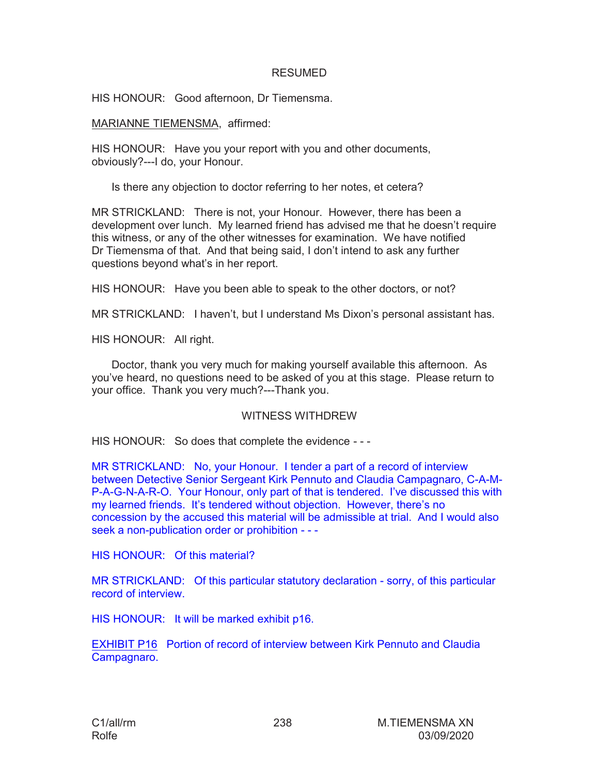## **RESUMED**

HIS HONOUR: Good afternoon, Dr Tiemensma.

MARIANNE TIEMENSMA, affirmed:

HIS HONOUR: Have you your report with you and other documents, obviously?---I do, your Honour.

Is there any objection to doctor referring to her notes, et cetera?

MR STRICKLAND: There is not, your Honour. However, there has been a development over lunch. My learned friend has advised me that he doesn't require this witness, or any of the other witnesses for examination. We have notified Dr Tiemensma of that. And that being said, I don't intend to ask any further questions beyond what's in her report.

HIS HONOUR: Have you been able to speak to the other doctors, or not?

MR STRICKLAND: I haven't, but I understand Ms Dixon's personal assistant has.

HIS HONOUR: All right.

Doctor, thank you very much for making yourself available this afternoon. As you've heard, no questions need to be asked of you at this stage. Please return to your office. Thank you very much?---Thank you.

## WITNESS WITHDREW

HIS HONOUR: So does that complete the evidence - - -

MR STRICKLAND: No, your Honour. I tender a part of a record of interview between Detective Senior Sergeant Kirk Pennuto and Claudia Campagnaro, C-A-M-P-A-G-N-A-R-O. Your Honour, only part of that is tendered. I've discussed this with my learned friends. It's tendered without objection. However, there's no concession by the accused this material will be admissible at trial. And I would also seek a non-publication order or prohibition - - -

HIS HONOUR: Of this material?

MR STRICKLAND: Of this particular statutory declaration - sorry, of this particular record of interview.

HIS HONOUR: It will be marked exhibit p16.

EXHIBIT P16 Portion of record of interview between Kirk Pennuto and Claudia Campagnaro.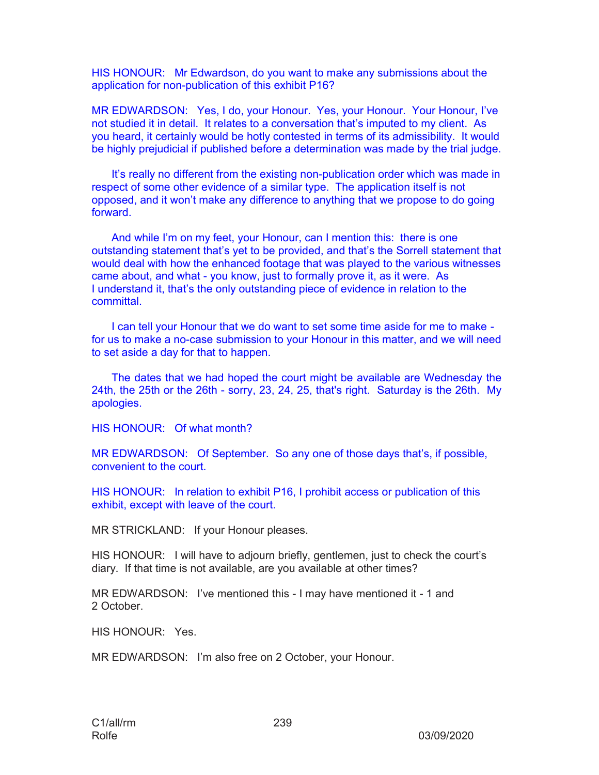HIS HONOUR: Mr Edwardson, do you want to make any submissions about the application for non-publication of this exhibit P16?

MR EDWARDSON: Yes, I do, your Honour. Yes, your Honour. Your Honour, I've not studied it in detail. It relates to a conversation that's imputed to my client. As you heard, it certainly would be hotly contested in terms of its admissibility. It would be highly prejudicial if published before a determination was made by the trial judge.

It's really no different from the existing non-publication order which was made in respect of some other evidence of a similar type. The application itself is not opposed, and it won't make any difference to anything that we propose to do going forward.

And while I'm on my feet, your Honour, can I mention this: there is one outstanding statement that's yet to be provided, and that's the Sorrell statement that would deal with how the enhanced footage that was played to the various witnesses came about, and what - you know, just to formally prove it, as it were. As I understand it, that's the only outstanding piece of evidence in relation to the committal.

I can tell your Honour that we do want to set some time aside for me to make for us to make a no-case submission to your Honour in this matter, and we will need to set aside a day for that to happen.

The dates that we had hoped the court might be available are Wednesday the 24th, the 25th or the 26th - sorry, 23, 24, 25, that's right. Saturday is the 26th. My apologies.

HIS HONOUR: Of what month?

MR EDWARDSON: Of September. So any one of those days that's, if possible, convenient to the court.

HIS HONOUR: In relation to exhibit P16, I prohibit access or publication of this exhibit, except with leave of the court.

MR STRICKLAND: If your Honour pleases.

HIS HONOUR: I will have to adjourn briefly, gentlemen, just to check the court's diary. If that time is not available, are you available at other times?

MR EDWARDSON: I've mentioned this - I may have mentioned it - 1 and 2 October.

HIS HONOUR: Yes.

MR EDWARDSON: I'm also free on 2 October, your Honour.